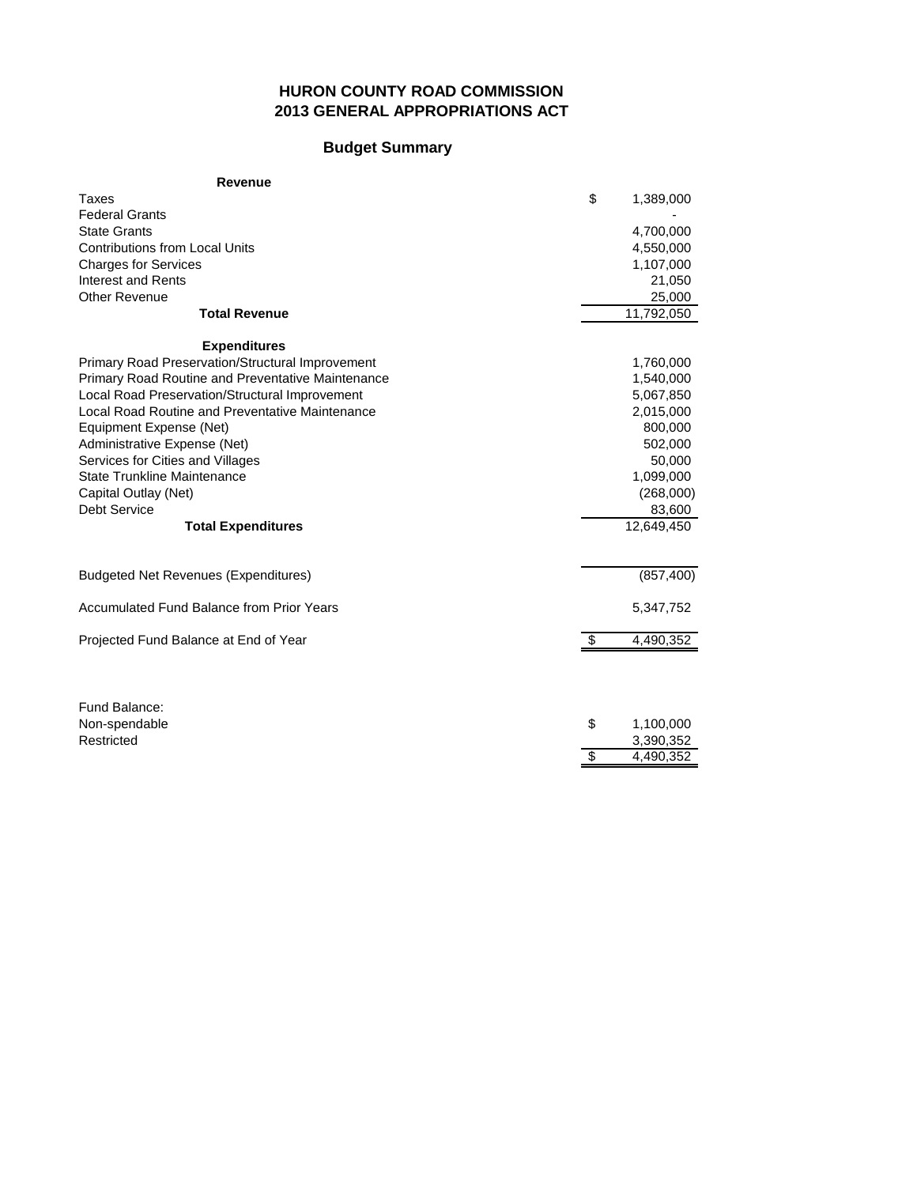## **HURON COUNTY ROAD COMMISSION 2013 GENERAL APPROPRIATIONS ACT**

# **Budget Summary**

| \$<br>1,389,000<br>Taxes<br><b>Federal Grants</b><br><b>State Grants</b><br>4,700,000<br><b>Contributions from Local Units</b><br>4,550,000<br><b>Charges for Services</b><br>1,107,000<br><b>Interest and Rents</b><br>21,050<br><b>Other Revenue</b><br>25,000<br><b>Total Revenue</b><br>11,792,050<br><b>Expenditures</b><br><b>Primary Road Preservation/Structural Improvement</b><br>1,760,000<br>Primary Road Routine and Preventative Maintenance<br>1,540,000<br>Local Road Preservation/Structural Improvement<br>5,067,850<br>Local Road Routine and Preventative Maintenance<br>2,015,000<br><b>Equipment Expense (Net)</b><br>800,000<br>Administrative Expense (Net)<br>502,000<br>Services for Cities and Villages<br>50,000<br><b>State Trunkline Maintenance</b><br>1,099,000<br>Capital Outlay (Net)<br>(268,000)<br><b>Debt Service</b><br>83,600<br>12,649,450<br><b>Total Expenditures</b><br>(857, 400)<br><b>Budgeted Net Revenues (Expenditures)</b><br><b>Accumulated Fund Balance from Prior Years</b><br>5,347,752<br>4,490,352<br>Projected Fund Balance at End of Year<br>\$<br>Fund Balance:<br>\$<br>Non-spendable<br>1,100,000<br>Restricted<br>3,390,352<br>\$<br>4,490,352 | <b>Revenue</b> |  |
|---------------------------------------------------------------------------------------------------------------------------------------------------------------------------------------------------------------------------------------------------------------------------------------------------------------------------------------------------------------------------------------------------------------------------------------------------------------------------------------------------------------------------------------------------------------------------------------------------------------------------------------------------------------------------------------------------------------------------------------------------------------------------------------------------------------------------------------------------------------------------------------------------------------------------------------------------------------------------------------------------------------------------------------------------------------------------------------------------------------------------------------------------------------------------------------------------------------|----------------|--|
|                                                                                                                                                                                                                                                                                                                                                                                                                                                                                                                                                                                                                                                                                                                                                                                                                                                                                                                                                                                                                                                                                                                                                                                                               |                |  |
|                                                                                                                                                                                                                                                                                                                                                                                                                                                                                                                                                                                                                                                                                                                                                                                                                                                                                                                                                                                                                                                                                                                                                                                                               |                |  |
|                                                                                                                                                                                                                                                                                                                                                                                                                                                                                                                                                                                                                                                                                                                                                                                                                                                                                                                                                                                                                                                                                                                                                                                                               |                |  |
|                                                                                                                                                                                                                                                                                                                                                                                                                                                                                                                                                                                                                                                                                                                                                                                                                                                                                                                                                                                                                                                                                                                                                                                                               |                |  |
|                                                                                                                                                                                                                                                                                                                                                                                                                                                                                                                                                                                                                                                                                                                                                                                                                                                                                                                                                                                                                                                                                                                                                                                                               |                |  |
|                                                                                                                                                                                                                                                                                                                                                                                                                                                                                                                                                                                                                                                                                                                                                                                                                                                                                                                                                                                                                                                                                                                                                                                                               |                |  |
|                                                                                                                                                                                                                                                                                                                                                                                                                                                                                                                                                                                                                                                                                                                                                                                                                                                                                                                                                                                                                                                                                                                                                                                                               |                |  |
|                                                                                                                                                                                                                                                                                                                                                                                                                                                                                                                                                                                                                                                                                                                                                                                                                                                                                                                                                                                                                                                                                                                                                                                                               |                |  |
|                                                                                                                                                                                                                                                                                                                                                                                                                                                                                                                                                                                                                                                                                                                                                                                                                                                                                                                                                                                                                                                                                                                                                                                                               |                |  |
|                                                                                                                                                                                                                                                                                                                                                                                                                                                                                                                                                                                                                                                                                                                                                                                                                                                                                                                                                                                                                                                                                                                                                                                                               |                |  |
|                                                                                                                                                                                                                                                                                                                                                                                                                                                                                                                                                                                                                                                                                                                                                                                                                                                                                                                                                                                                                                                                                                                                                                                                               |                |  |
|                                                                                                                                                                                                                                                                                                                                                                                                                                                                                                                                                                                                                                                                                                                                                                                                                                                                                                                                                                                                                                                                                                                                                                                                               |                |  |
|                                                                                                                                                                                                                                                                                                                                                                                                                                                                                                                                                                                                                                                                                                                                                                                                                                                                                                                                                                                                                                                                                                                                                                                                               |                |  |
|                                                                                                                                                                                                                                                                                                                                                                                                                                                                                                                                                                                                                                                                                                                                                                                                                                                                                                                                                                                                                                                                                                                                                                                                               |                |  |
|                                                                                                                                                                                                                                                                                                                                                                                                                                                                                                                                                                                                                                                                                                                                                                                                                                                                                                                                                                                                                                                                                                                                                                                                               |                |  |
|                                                                                                                                                                                                                                                                                                                                                                                                                                                                                                                                                                                                                                                                                                                                                                                                                                                                                                                                                                                                                                                                                                                                                                                                               |                |  |
|                                                                                                                                                                                                                                                                                                                                                                                                                                                                                                                                                                                                                                                                                                                                                                                                                                                                                                                                                                                                                                                                                                                                                                                                               |                |  |
|                                                                                                                                                                                                                                                                                                                                                                                                                                                                                                                                                                                                                                                                                                                                                                                                                                                                                                                                                                                                                                                                                                                                                                                                               |                |  |
|                                                                                                                                                                                                                                                                                                                                                                                                                                                                                                                                                                                                                                                                                                                                                                                                                                                                                                                                                                                                                                                                                                                                                                                                               |                |  |
|                                                                                                                                                                                                                                                                                                                                                                                                                                                                                                                                                                                                                                                                                                                                                                                                                                                                                                                                                                                                                                                                                                                                                                                                               |                |  |
|                                                                                                                                                                                                                                                                                                                                                                                                                                                                                                                                                                                                                                                                                                                                                                                                                                                                                                                                                                                                                                                                                                                                                                                                               |                |  |
|                                                                                                                                                                                                                                                                                                                                                                                                                                                                                                                                                                                                                                                                                                                                                                                                                                                                                                                                                                                                                                                                                                                                                                                                               |                |  |
|                                                                                                                                                                                                                                                                                                                                                                                                                                                                                                                                                                                                                                                                                                                                                                                                                                                                                                                                                                                                                                                                                                                                                                                                               |                |  |
|                                                                                                                                                                                                                                                                                                                                                                                                                                                                                                                                                                                                                                                                                                                                                                                                                                                                                                                                                                                                                                                                                                                                                                                                               |                |  |
|                                                                                                                                                                                                                                                                                                                                                                                                                                                                                                                                                                                                                                                                                                                                                                                                                                                                                                                                                                                                                                                                                                                                                                                                               |                |  |
|                                                                                                                                                                                                                                                                                                                                                                                                                                                                                                                                                                                                                                                                                                                                                                                                                                                                                                                                                                                                                                                                                                                                                                                                               |                |  |
|                                                                                                                                                                                                                                                                                                                                                                                                                                                                                                                                                                                                                                                                                                                                                                                                                                                                                                                                                                                                                                                                                                                                                                                                               |                |  |
|                                                                                                                                                                                                                                                                                                                                                                                                                                                                                                                                                                                                                                                                                                                                                                                                                                                                                                                                                                                                                                                                                                                                                                                                               |                |  |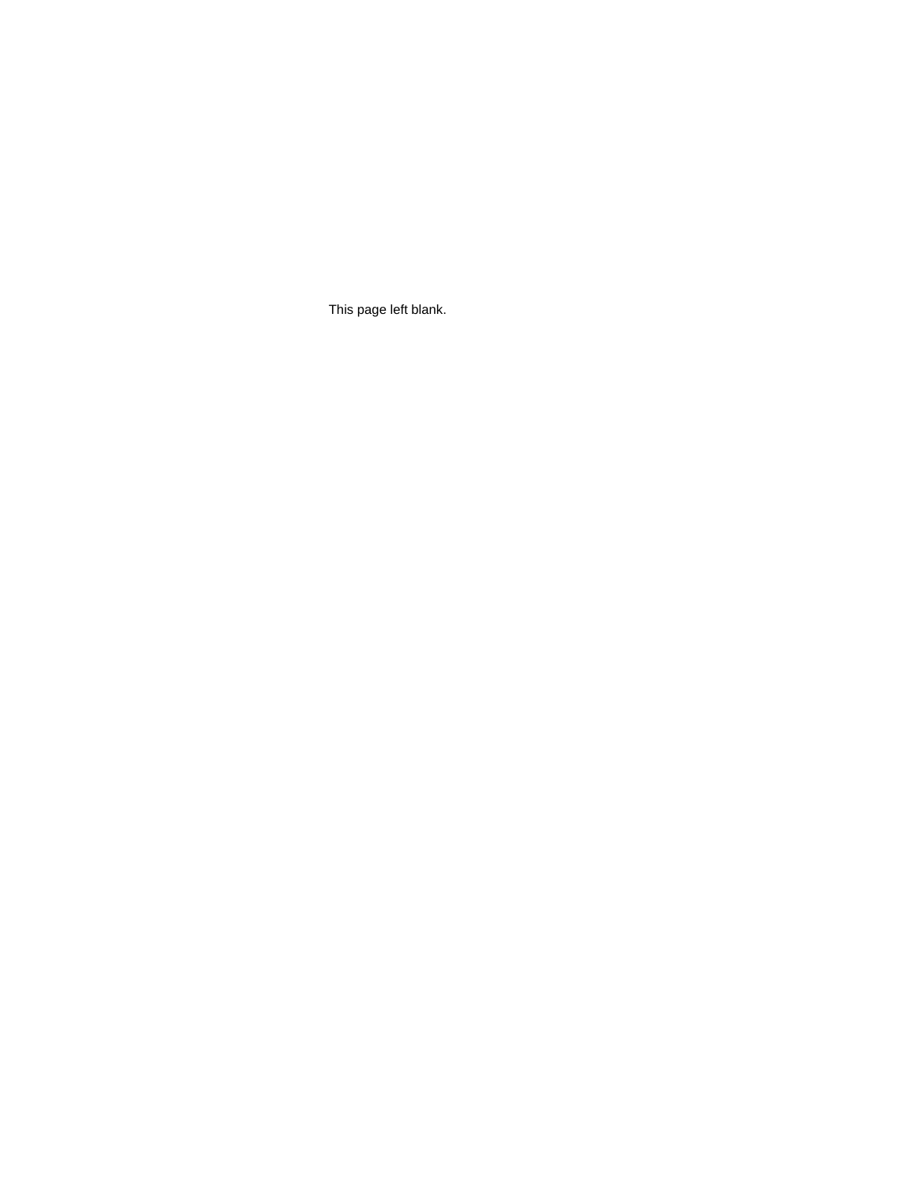This page left blank.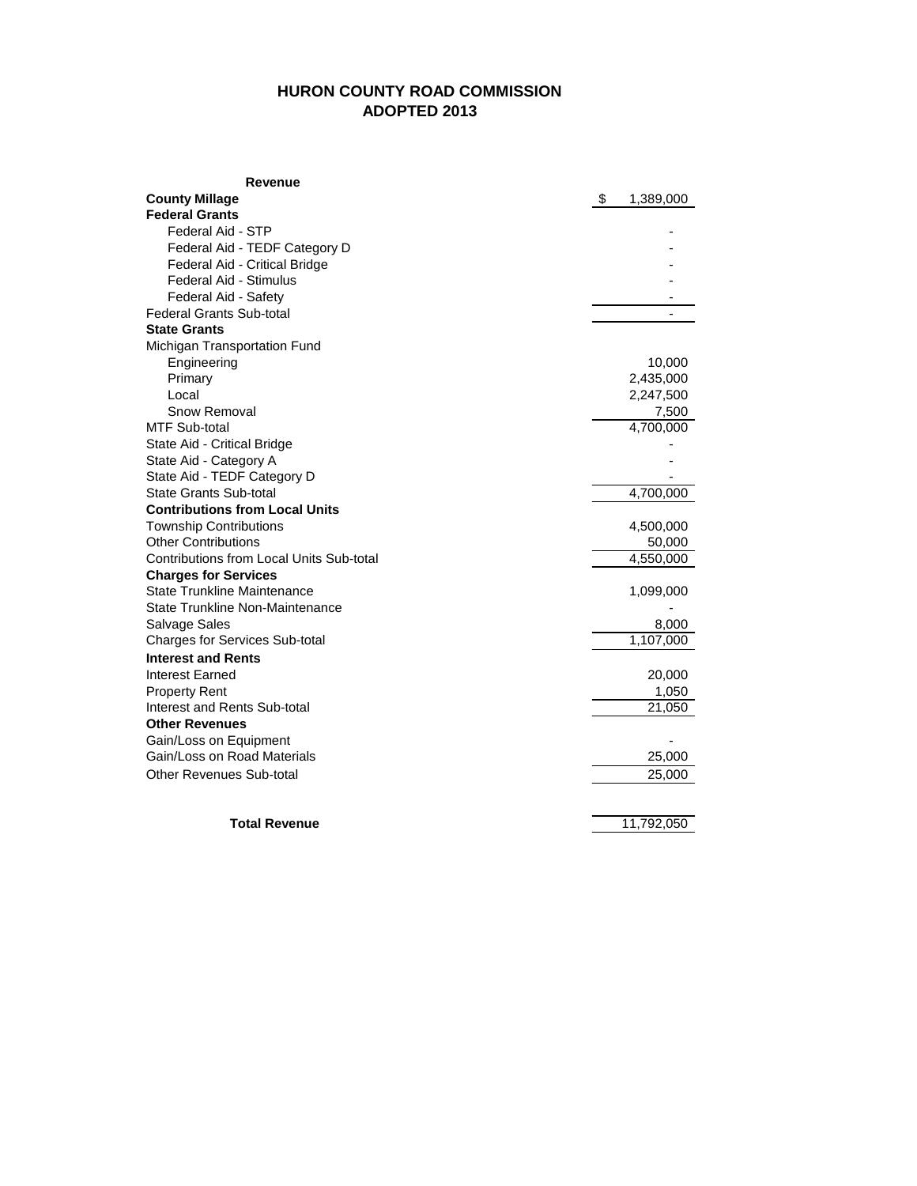### **HURON COUNTY ROAD COMMISSION ADOPTED 2013**

| <b>Revenue</b>                                  |                        |
|-------------------------------------------------|------------------------|
| <b>County Millage</b>                           | \$<br>1,389,000        |
| <b>Federal Grants</b>                           |                        |
| Federal Aid - STP                               |                        |
| Federal Aid - TEDF Category D                   |                        |
| Federal Aid - Critical Bridge                   |                        |
| Federal Aid - Stimulus                          |                        |
| Federal Aid - Safety                            |                        |
| <b>Federal Grants Sub-total</b>                 |                        |
| <b>State Grants</b>                             |                        |
| Michigan Transportation Fund                    |                        |
| Engineering                                     | 10,000                 |
| Primary                                         | 2,435,000              |
| Local                                           | 2,247,500              |
| Snow Removal                                    | 7,500                  |
| <b>MTF Sub-total</b>                            | 4,700,000              |
| State Aid - Critical Bridge                     |                        |
| State Aid - Category A                          |                        |
| State Aid - TEDF Category D                     |                        |
| <b>State Grants Sub-total</b>                   | 4,700,000              |
| <b>Contributions from Local Units</b>           |                        |
| <b>Township Contributions</b>                   | 4,500,000              |
| <b>Other Contributions</b>                      | 50,000                 |
| <b>Contributions from Local Units Sub-total</b> | 4,550,000              |
| <b>Charges for Services</b>                     |                        |
| <b>State Trunkline Maintenance</b>              | 1,099,000              |
| <b>State Trunkline Non-Maintenance</b>          |                        |
| Salvage Sales                                   | 8,000                  |
| <b>Charges for Services Sub-total</b>           | $\overline{1,}107,000$ |
| <b>Interest and Rents</b>                       |                        |
| <b>Interest Earned</b>                          | 20,000                 |
| <b>Property Rent</b>                            | 1,050                  |
| Interest and Rents Sub-total                    | 21,050                 |
| <b>Other Revenues</b>                           |                        |
| Gain/Loss on Equipment                          |                        |
| Gain/Loss on Road Materials                     | 25,000                 |
| <b>Other Revenues Sub-total</b>                 | 25,000                 |
|                                                 |                        |
|                                                 |                        |
| <b>Total Revenue</b>                            | 11,792,050             |